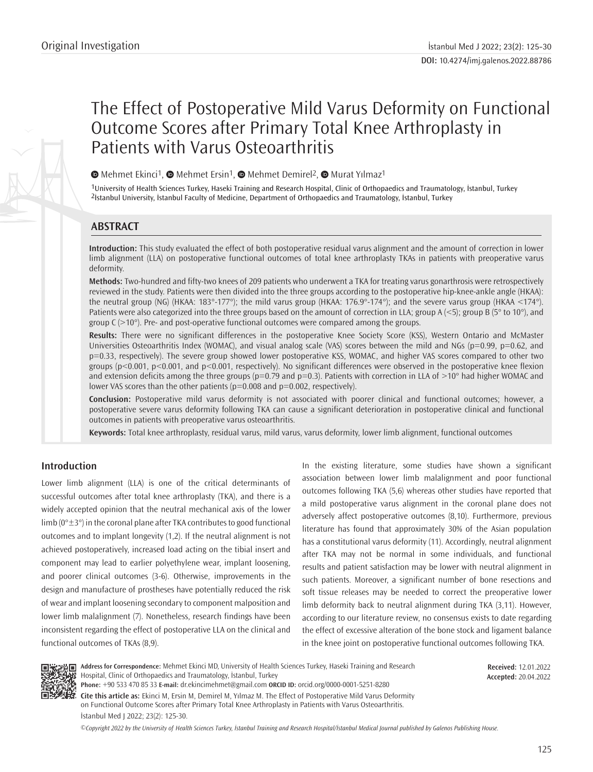# The Effect of Postoperative Mild Varus Deformity on Functional Outcome Scores after Primary Total Knee Arthroplasty in Patients with Varus Osteoarthritis

 $\bullet$ Mehmet Ekinci<sup>1</sup>,  $\bullet$  Mehmet Ersin<sup>1</sup>,  $\bullet$  Mehmet Demirel<sup>2</sup>,  $\bullet$  Murat Yılmaz<sup>1</sup>

1University of Health Sciences Turkey, Haseki Training and Research Hospital, Clinic of Orthopaedics and Traumatology, İstanbul, Turkey 2İstanbul University, İstanbul Faculty of Medicine, Department of Orthopaedics and Traumatology, İstanbul, Turkey

# **ABSTRACT**

**Introduction:** This study evaluated the effect of both postoperative residual varus alignment and the amount of correction in lower limb alignment (LLA) on postoperative functional outcomes of total knee arthroplasty TKAs in patients with preoperative varus deformity.

**Methods:** Two-hundred and fifty-two knees of 209 patients who underwent a TKA for treating varus gonarthrosis were retrospectively reviewed in the study. Patients were then divided into the three groups according to the postoperative hip-knee-ankle angle (HKAA): the neutral group (NG) (HKAA: 183°-177°); the mild varus group (HKAA: 176.9°-174°); and the severe varus group (HKAA <174°). Patients were also categorized into the three groups based on the amount of correction in LLA; group  $A \le 5$ ; group B (5° to 10°), and group  $C$  ( $>10^{\circ}$ ). Pre- and post-operative functional outcomes were compared among the groups.

**Results:** There were no significant differences in the postoperative Knee Society Score (KSS), Western Ontario and McMaster Universities Osteoarthritis Index (WOMAC), and visual analog scale (VAS) scores between the mild and NGs (p=0.99, p=0.62, and p=0.33, respectively). The severe group showed lower postoperative KSS, WOMAC, and higher VAS scores compared to other two groups (p<0.001, p<0.001, and p<0.001, respectively). No significant differences were observed in the postoperative knee flexion and extension deficits among the three groups ( $p=0.79$  and  $p=0.3$ ). Patients with correction in LLA of  $>10^{\circ}$  had higher WOMAC and lower VAS scores than the other patients ( $p=0.008$  and  $p=0.002$ , respectively).

**Conclusion:** Postoperative mild varus deformity is not associated with poorer clinical and functional outcomes; however, a postoperative severe varus deformity following TKA can cause a significant deterioration in postoperative clinical and functional outcomes in patients with preoperative varus osteoarthritis.

**Keywords:** Total knee arthroplasty, residual varus, mild varus, varus deformity, lower limb alignment, functional outcomes

# **Introduction**

Lower limb alignment (LLA) is one of the critical determinants of successful outcomes after total knee arthroplasty (TKA), and there is a widely accepted opinion that the neutral mechanical axis of the lower limb ( $0^\circ \pm 3^\circ$ ) in the coronal plane after TKA contributes to good functional outcomes and to implant longevity (1,2). If the neutral alignment is not achieved postoperatively, increased load acting on the tibial insert and component may lead to earlier polyethylene wear, implant loosening, and poorer clinical outcomes (3-6). Otherwise, improvements in the design and manufacture of prostheses have potentially reduced the risk of wear and implant loosening secondary to component malposition and lower limb malalignment (7). Nonetheless, research findings have been inconsistent regarding the effect of postoperative LLA on the clinical and functional outcomes of TKAs (8,9).

In the existing literature, some studies have shown a significant association between lower limb malalignment and poor functional outcomes following TKA (5,6) whereas other studies have reported that a mild postoperative varus alignment in the coronal plane does not adversely affect postoperative outcomes (8,10). Furthermore, previous literature has found that approximately 30% of the Asian population has a constitutional varus deformity (11). Accordingly, neutral alignment after TKA may not be normal in some individuals, and functional results and patient satisfaction may be lower with neutral alignment in such patients. Moreover, a significant number of bone resections and soft tissue releases may be needed to correct the preoperative lower limb deformity back to neutral alignment during TKA (3,11). However, according to our literature review, no consensus exists to date regarding the effect of excessive alteration of the bone stock and ligament balance in the knee joint on postoperative functional outcomes following TKA.



**Address for Correspondence:** Mehmet Ekinci MD, University of Health Sciences Turkey, Haseki Training and Research Hospital, Clinic of Orthopaedics and Traumatology, İstanbul, Turkey **Phone:** +90 533 470 85 33 **E-mail:** dr.ekincimehmet@gmail.com **ORCID ID:** orcid.org/0000-0001-5251-8280

**Received:** 12.01.2022 **Accepted:** 20.04.2022

**Cite this article as:** Ekinci M, Ersin M, Demirel M, Yılmaz M. The Effect of Postoperative Mild Varus Deformity on Functional Outcome Scores after Primary Total Knee Arthroplasty in Patients with Varus Osteoarthritis. İstanbul Med J 2022; 23(2): 125-30.

*©*Copyright 2022 by the University of Health Sciences Turkey, İstanbul Training and Research Hospital/İstanbul Medical Journal published by Galenos Publishing House.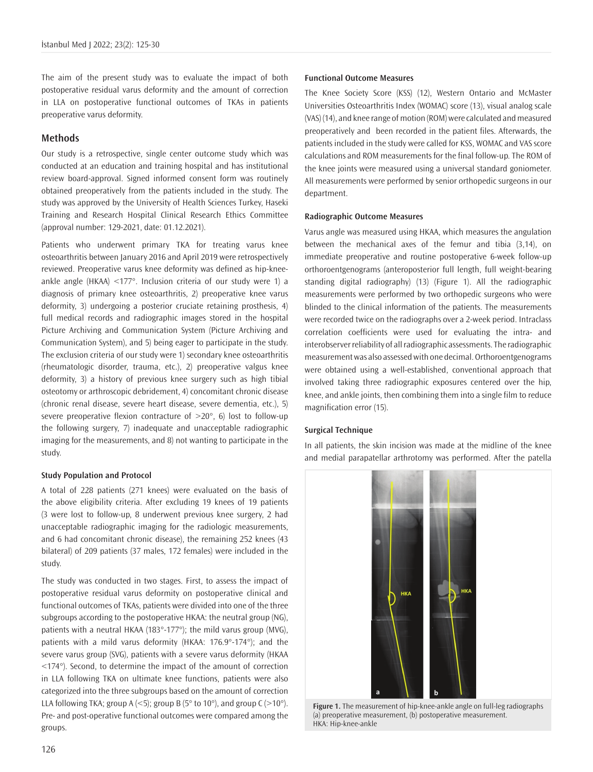The aim of the present study was to evaluate the impact of both postoperative residual varus deformity and the amount of correction in LLA on postoperative functional outcomes of TKAs in patients preoperative varus deformity.

# **Methods**

Our study is a retrospective, single center outcome study which was conducted at an education and training hospital and has institutional review board-approval. Signed informed consent form was routinely obtained preoperatively from the patients included in the study. The study was approved by the University of Health Sciences Turkey, Haseki Training and Research Hospital Clinical Research Ethics Committee (approval number: 129-2021, date: 01.12.2021).

Patients who underwent primary TKA for treating varus knee osteoarthritis between January 2016 and April 2019 were retrospectively reviewed. Preoperative varus knee deformity was defined as hip-kneeankle angle (HKAA) <177°. Inclusion criteria of our study were 1) a diagnosis of primary knee osteoarthritis, 2) preoperative knee varus deformity, 3) undergoing a posterior cruciate retaining prosthesis, 4) full medical records and radiographic images stored in the hospital Picture Archiving and Communication System (Picture Archiving and Communication System), and 5) being eager to participate in the study. The exclusion criteria of our study were 1) secondary knee osteoarthritis (rheumatologic disorder, trauma, etc.), 2) preoperative valgus knee deformity, 3) a history of previous knee surgery such as high tibial osteotomy or arthroscopic debridement, 4) concomitant chronic disease (chronic renal disease, severe heart disease, severe dementia, etc.), 5) severe preoperative flexion contracture of  $>20^{\circ}$ , 6) lost to follow-up the following surgery, 7) inadequate and unacceptable radiographic imaging for the measurements, and 8) not wanting to participate in the study.

# **Study Population and Protocol**

A total of 228 patients (271 knees) were evaluated on the basis of the above eligibility criteria. After excluding 19 knees of 19 patients (3 were lost to follow-up, 8 underwent previous knee surgery, 2 had unacceptable radiographic imaging for the radiologic measurements, and 6 had concomitant chronic disease), the remaining 252 knees (43 bilateral) of 209 patients (37 males, 172 females) were included in the study.

The study was conducted in two stages. First, to assess the impact of postoperative residual varus deformity on postoperative clinical and functional outcomes of TKAs, patients were divided into one of the three subgroups according to the postoperative HKAA: the neutral group (NG), patients with a neutral HKAA (183°-177°); the mild varus group (MVG), patients with a mild varus deformity (HKAA: 176.9°-174°); and the severe varus group (SVG), patients with a severe varus deformity (HKAA <174°). Second, to determine the impact of the amount of correction in LLA following TKA on ultimate knee functions, patients were also categorized into the three subgroups based on the amount of correction LLA following TKA; group A (<5); group B (5 $\degree$  to 10 $\degree$ ), and group C (>10 $\degree$ ). Pre- and post-operative functional outcomes were compared among the groups.

# **Functional Outcome Measures**

The Knee Society Score (KSS) (12), Western Ontario and McMaster Universities Osteoarthritis Index (WOMAC) score (13), visual analog scale (VAS) (14), and knee range of motion (ROM) were calculated and measured preoperatively and been recorded in the patient files. Afterwards, the patients included in the study were called for KSS, WOMAC and VAS score calculations and ROM measurements for the final follow-up. The ROM of the knee joints were measured using a universal standard goniometer. All measurements were performed by senior orthopedic surgeons in our department.

# **Radiographic Outcome Measures**

Varus angle was measured using HKAA, which measures the angulation between the mechanical axes of the femur and tibia (3,14), on immediate preoperative and routine postoperative 6-week follow-up orthoroentgenograms (anteroposterior full length, full weight-bearing standing digital radiography) (13) (Figure 1). All the radiographic measurements were performed by two orthopedic surgeons who were blinded to the clinical information of the patients. The measurements were recorded twice on the radiographs over a 2-week period. Intraclass correlation coefficients were used for evaluating the intra- and interobserver reliability of all radiographic assessments. The radiographic measurement was also assessed with one decimal. Orthoroentgenograms were obtained using a well-established, conventional approach that involved taking three radiographic exposures centered over the hip, knee, and ankle joints, then combining them into a single film to reduce magnification error (15).

## **Surgical Technique**

In all patients, the skin incision was made at the midline of the knee and medial parapatellar arthrotomy was performed. After the patella



**Figure 1.** The measurement of hip-knee-ankle angle on full-leg radiographs (a) preoperative measurement, (b) postoperative measurement. HKA: Hip-knee-ankle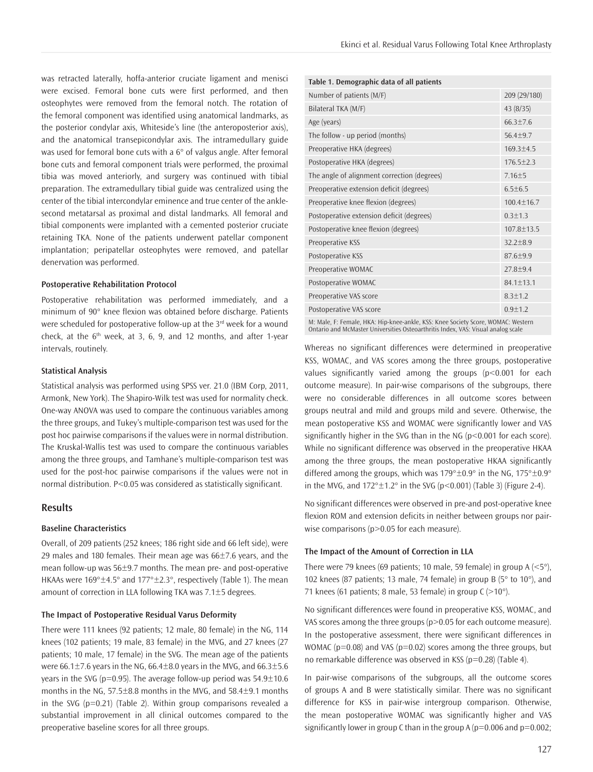was retracted laterally, hoffa-anterior cruciate ligament and menisci were excised. Femoral bone cuts were first performed, and then osteophytes were removed from the femoral notch. The rotation of the femoral component was identified using anatomical landmarks, as the posterior condylar axis, Whiteside's line (the anteroposterior axis), and the anatomical transepicondylar axis. The intramedullary guide was used for femoral bone cuts with a 6° of valgus angle. After femoral bone cuts and femoral component trials were performed, the proximal tibia was moved anteriorly, and surgery was continued with tibial preparation. The extramedullary tibial guide was centralized using the center of the tibial intercondylar eminence and true center of the anklesecond metatarsal as proximal and distal landmarks. All femoral and tibial components were implanted with a cemented posterior cruciate retaining TKA. None of the patients underwent patellar component implantation; peripatellar osteophytes were removed, and patellar denervation was performed.

#### **Postoperative Rehabilitation Protocol**

Postoperative rehabilitation was performed immediately, and a minimum of 90° knee flexion was obtained before discharge. Patients were scheduled for postoperative follow-up at the 3<sup>rd</sup> week for a wound check, at the  $6<sup>th</sup>$  week, at 3, 6, 9, and 12 months, and after 1-year intervals, routinely.

# **Statistical Analysis**

Statistical analysis was performed using SPSS ver. 21.0 (IBM Corp, 2011, Armonk, New York). The Shapiro-Wilk test was used for normality check. One-way ANOVA was used to compare the continuous variables among the three groups, and Tukey's multiple-comparison test was used for the post hoc pairwise comparisons if the values were in normal distribution. The Kruskal-Wallis test was used to compare the continuous variables among the three groups, and Tamhane's multiple-comparison test was used for the post-hoc pairwise comparisons if the values were not in normal distribution. P<0.05 was considered as statistically significant.

# **Results**

# **Baseline Characteristics**

Overall, of 209 patients (252 knees; 186 right side and 66 left side), were 29 males and 180 females. Their mean age was 66±7.6 years, and the mean follow-up was 56±9.7 months. The mean pre- and post-operative HKAAs were 169°±4.5° and 177°±2.3°, respectively (Table 1). The mean amount of correction in LLA following TKA was 7.1±5 degrees.

#### **The Impact of Postoperative Residual Varus Deformity**

There were 111 knees (92 patients; 12 male, 80 female) in the NG, 114 knees (102 patients; 19 male, 83 female) in the MVG, and 27 knees (27 patients; 10 male, 17 female) in the SVG. The mean age of the patients were 66.1 $\pm$ 7.6 years in the NG, 66.4 $\pm$ 8.0 years in the MVG, and 66.3 $\pm$ 5.6 years in the SVG ( $p=0.95$ ). The average follow-up period was  $54.9\pm10.6$ months in the NG, 57.5±8.8 months in the MVG, and 58.4±9.1 months in the SVG ( $p=0.21$ ) (Table 2). Within group comparisons revealed a substantial improvement in all clinical outcomes compared to the preoperative baseline scores for all three groups.

| Table 1. Demographic data of all patients                                                                                                                            |                  |  |  |  |
|----------------------------------------------------------------------------------------------------------------------------------------------------------------------|------------------|--|--|--|
| Number of patients (M/F)                                                                                                                                             | 209 (29/180)     |  |  |  |
| Bilateral TKA (M/F)                                                                                                                                                  | 43 (8/35)        |  |  |  |
| Age (years)                                                                                                                                                          | $66.3 \pm 7.6$   |  |  |  |
| The follow - up period (months)                                                                                                                                      | $56.4 + 9.7$     |  |  |  |
| Preoperative HKA (degrees)                                                                                                                                           | $169.3 \pm 4.5$  |  |  |  |
| Postoperative HKA (degrees)                                                                                                                                          | $176.5 \pm 2.3$  |  |  |  |
| The angle of alignment correction (degrees)                                                                                                                          | $7.16 \pm 5$     |  |  |  |
| Preoperative extension deficit (degrees)                                                                                                                             | $6.5 \pm 6.5$    |  |  |  |
| Preoperative knee flexion (degrees)                                                                                                                                  | $100.4 + 16.7$   |  |  |  |
| Postoperative extension deficit (degrees)                                                                                                                            | $0.3 + 1.3$      |  |  |  |
| Postoperative knee flexion (degrees)                                                                                                                                 | $107.8 \pm 13.5$ |  |  |  |
| Preoperative KSS                                                                                                                                                     | $32.2 + 8.9$     |  |  |  |
| Postoperative KSS                                                                                                                                                    | $87.6 + 9.9$     |  |  |  |
| Preoperative WOMAC                                                                                                                                                   | $27.8 + 9.4$     |  |  |  |
| Postoperative WOMAC                                                                                                                                                  | $84.1 + 13.1$    |  |  |  |
| Preoperative VAS score                                                                                                                                               | $8.3 + 1.2$      |  |  |  |
| Postoperative VAS score                                                                                                                                              | $0.9 + 1.2$      |  |  |  |
| M: Male, F: Female, HKA: Hip-knee-ankle, KSS: Knee Society Score, WOMAC: Western<br>Ontario and McMaster Universities Osteoarthritis Index, VAS: Visual analog scale |                  |  |  |  |

Whereas no significant differences were determined in preoperative KSS, WOMAC, and VAS scores among the three groups, postoperative values significantly varied among the groups (p<0.001 for each outcome measure). In pair-wise comparisons of the subgroups, there were no considerable differences in all outcome scores between groups neutral and mild and groups mild and severe. Otherwise, the mean postoperative KSS and WOMAC were significantly lower and VAS significantly higher in the SVG than in the NG  $(p<0.001$  for each score). While no significant difference was observed in the preoperative HKAA among the three groups, the mean postoperative HKAA significantly differed among the groups, which was  $179^{\circ} \pm 0.9^{\circ}$  in the NG,  $175^{\circ} \pm 0.9^{\circ}$ 

No significant differences were observed in pre-and post-operative knee flexion ROM and extension deficits in neither between groups nor pairwise comparisons (p>0.05 for each measure).

in the MVG, and  $172^{\circ} \pm 1.2^{\circ}$  in the SVG (p<0.001) (Table 3) (Figure 2-4).

## **The Impact of the Amount of Correction in LLA**

There were 79 knees (69 patients; 10 male, 59 female) in group A  $\left\langle \langle 5^\circ \rangle \right\rangle$ , 102 knees (87 patients; 13 male, 74 female) in group B (5° to 10°), and 71 knees (61 patients; 8 male, 53 female) in group  $C$  (>10°).

No significant differences were found in preoperative KSS, WOMAC, and VAS scores among the three groups (p>0.05 for each outcome measure). In the postoperative assessment, there were significant differences in WOMAC ( $p=0.08$ ) and VAS ( $p=0.02$ ) scores among the three groups, but no remarkable difference was observed in KSS (p=0.28) (Table 4).

In pair-wise comparisons of the subgroups, all the outcome scores of groups A and B were statistically similar. There was no significant difference for KSS in pair-wise intergroup comparison. Otherwise, the mean postoperative WOMAC was significantly higher and VAS significantly lower in group C than in the group A ( $p=0.006$  and  $p=0.002$ ;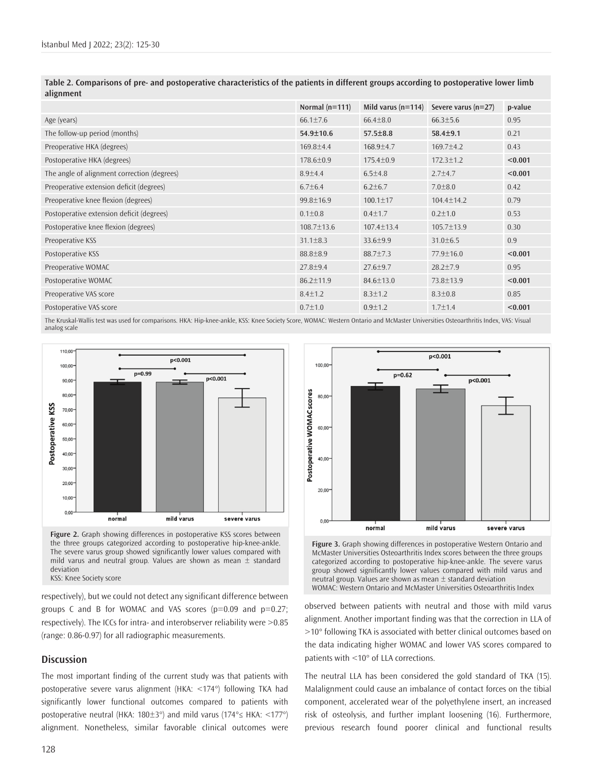|                                             | Normal $(n=111)$ | Mild varus $(n=114)$ | Severe varus $(n=27)$ | p-value |
|---------------------------------------------|------------------|----------------------|-----------------------|---------|
| Age (years)                                 | $66.1 \pm 7.6$   | $66.4 \pm 8.0$       | $66.3 \pm 5.6$        | 0.95    |
| The follow-up period (months)               | $54.9 \pm 10.6$  | $57.5 \pm 8.8$       | $58.4 \pm 9.1$        | 0.21    |
| Preoperative HKA (degrees)                  | $169.8 \pm 4.4$  | $168.9 \pm 4.7$      | $169.7 \pm 4.2$       | 0.43    |
| Postoperative HKA (degrees)                 | $178.6 \pm 0.9$  | $175.4 \pm 0.9$      | $172.3 \pm 1.2$       | < 0.001 |
| The angle of alignment correction (degrees) | $8.9{\pm}4.4$    | $6.5 \pm 4.8$        | $2.7 + 4.7$           | < 0.001 |
| Preoperative extension deficit (degrees)    | $6.7 \pm 6.4$    | $6.2 \pm 6.7$        | $7.0 \pm 8.0$         | 0.42    |
| Preoperative knee flexion (degrees)         | $99.8 \pm 16.9$  | $100.1 \pm 17$       | $104.4 \pm 14.2$      | 0.79    |
| Postoperative extension deficit (degrees)   | $0.1 \pm 0.8$    | $0.4 \pm 1.7$        | $0.2 \pm 1.0$         | 0.53    |
| Postoperative knee flexion (degrees)        | $108.7 \pm 13.6$ | $107.4 \pm 13.4$     | $105.7 \pm 13.9$      | 0.30    |
| Preoperative KSS                            | $31.1 \pm 8.3$   | $33.6 \pm 9.9$       | $31.0 \pm 6.5$        | 0.9     |
| Postoperative KSS                           | $88.8 \pm 8.9$   | $88.7 \pm 7.3$       | $77.9 \pm 16.0$       | < 0.001 |
| Preoperative WOMAC                          | $27.8 \pm 9.4$   | $27.6 \pm 9.7$       | $28.2 \pm 7.9$        | 0.95    |
| Postoperative WOMAC                         | $86.2 \pm 11.9$  | 84.6±13.0            | 73.8±13.9             | < 0.001 |
| Preoperative VAS score                      | $8.4 \pm 1.2$    | $8.3 \pm 1.2$        | $8.3 \pm 0.8$         | 0.85    |
| Postoperative VAS score                     | $0.7 \pm 1.0$    | $0.9 \pm 1.2$        | $1.7 \pm 1.4$         | < 0.001 |
|                                             |                  |                      |                       |         |

**Table 2. Comparisons of pre- and postoperative characteristics of the patients in different groups according to postoperative lower limb alignment**

The Kruskal-Wallis test was used for comparisons. HKA: Hip-knee-ankle, KSS: Knee Society Score, WOMAC: Western Ontario and McMaster Universities Osteoarthritis Index, VAS: Visual analog scale



KSS: Knee Society score

respectively), but we could not detect any significant difference between groups C and B for WOMAC and VAS scores ( $p=0.09$  and  $p=0.27$ ; respectively). The ICCs for intra- and interobserver reliability were >0.85 (range: 0.86-0.97) for all radiographic measurements.

# **Discussion**

The most important finding of the current study was that patients with postoperative severe varus alignment (HKA: <174°) following TKA had significantly lower functional outcomes compared to patients with postoperative neutral (HKA: 180±3°) and mild varus (174°≤ HKA: <177°) alignment. Nonetheless, similar favorable clinical outcomes were



**Figure 3.** Graph showing differences in postoperative Western Ontario and McMaster Universities Osteoarthritis Index scores between the three groups categorized according to postoperative hip-knee-ankle. The severe varus group showed significantly lower values compared with mild varus and neutral group. Values are shown as mean ± standard deviation WOMAC: Western Ontario and McMaster Universities Osteoarthritis Index

observed between patients with neutral and those with mild varus alignment. Another important finding was that the correction in LLA of >10° following TKA is associated with better clinical outcomes based on the data indicating higher WOMAC and lower VAS scores compared to patients with <10° of LLA corrections.

The neutral LLA has been considered the gold standard of TKA (15). Malalignment could cause an imbalance of contact forces on the tibial component, accelerated wear of the polyethylene insert, an increased risk of osteolysis, and further implant loosening (16). Furthermore, previous research found poorer clinical and functional results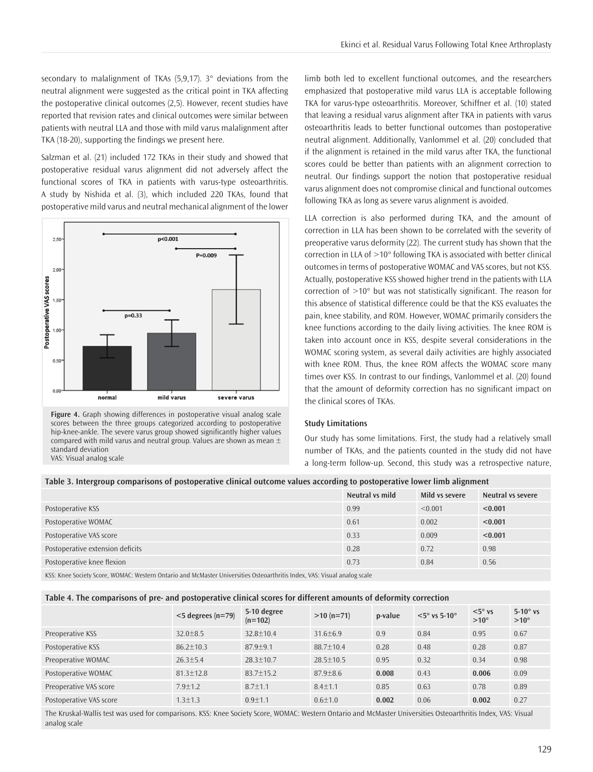secondary to malalignment of TKAs (5,9,17). 3° deviations from the neutral alignment were suggested as the critical point in TKA affecting the postoperative clinical outcomes (2,5). However, recent studies have reported that revision rates and clinical outcomes were similar between patients with neutral LLA and those with mild varus malalignment after TKA (18-20), supporting the findings we present here.

Salzman et al. (21) included 172 TKAs in their study and showed that postoperative residual varus alignment did not adversely affect the functional scores of TKA in patients with varus-type osteoarthritis. A study by Nishida et al. (3), which included 220 TKAs, found that postoperative mild varus and neutral mechanical alignment of the lower



**Figure 4.** Graph showing differences in postoperative visual analog scale scores between the three groups categorized according to postoperative hip-knee-ankle. The severe varus group showed significantly higher values compared with mild varus and neutral group. Values are shown as mean  $\pm$ standard deviation VAS: Visual analog scale

limb both led to excellent functional outcomes, and the researchers emphasized that postoperative mild varus LLA is acceptable following TKA for varus-type osteoarthritis. Moreover, Schiffner et al. (10) stated that leaving a residual varus alignment after TKA in patients with varus osteoarthritis leads to better functional outcomes than postoperative neutral alignment. Additionally, Vanlommel et al. (20) concluded that if the alignment is retained in the mild varus after TKA, the functional scores could be better than patients with an alignment correction to neutral. Our findings support the notion that postoperative residual varus alignment does not compromise clinical and functional outcomes following TKA as long as severe varus alignment is avoided.

LLA correction is also performed during TKA, and the amount of correction in LLA has been shown to be correlated with the severity of preoperative varus deformity (22). The current study has shown that the correction in LLA of >10° following TKA is associated with better clinical outcomes in terms of postoperative WOMAC and VAS scores, but not KSS. Actually, postoperative KSS showed higher trend in the patients with LLA correction of >10° but was not statistically significant. The reason for this absence of statistical difference could be that the KSS evaluates the pain, knee stability, and ROM. However, WOMAC primarily considers the knee functions according to the daily living activities. The knee ROM is taken into account once in KSS, despite several considerations in the WOMAC scoring system, as several daily activities are highly associated with knee ROM. Thus, the knee ROM affects the WOMAC score many times over KSS. In contrast to our findings, Vanlommel et al. (20) found that the amount of deformity correction has no significant impact on the clinical scores of TKAs.

#### **Study Limitations**

Our study has some limitations. First, the study had a relatively small number of TKAs, and the patients counted in the study did not have a long-term follow-up. Second, this study was a retrospective nature,

#### **Table 3. Intergroup comparisons of postoperative clinical outcome values according to postoperative lower limb alignment**

|                                                                                                              | Neutral vs mild | Mild vs severe | Neutral vs severe |
|--------------------------------------------------------------------------------------------------------------|-----------------|----------------|-------------------|
| Postoperative KSS                                                                                            | 0.99            | < 0.001        | < 0.001           |
| Postoperative WOMAC                                                                                          | 0.61            | 0.002          | < 0.001           |
| Postoperative VAS score                                                                                      | 0.33            | 0.009          | < 0.001           |
| Postoperative extension deficits                                                                             | 0.28            | 0.72           | 0.98              |
| Postoperative knee flexion                                                                                   | 0.73            | 0.84           | 0.56              |
| اللاحظة المستقرن والمراجع المنافس المتحاول والمتحافظ والمنافس والمتحدث والمستقرن والمستقرن والمنافس والمتحدث |                 |                |                   |

KSS: Knee Society Score, WOMAC: Western Ontario and McMaster Universities Osteoarthritis Index, VAS: Visual analog scale

# **Table 4. The comparisons of pre- and postoperative clinical scores for different amounts of deformity correction**

|                         | $<$ 5 degrees (n=79) | 5-10 degree<br>$(n=102)$ | $>10$ (n=71)   | p-value | $<$ 5° vs 5-10° | $<$ 5 $\degree$ vs<br>$>10^{\circ}$ | $5-10^\circ$ vs<br>$>10^{\circ}$ |
|-------------------------|----------------------|--------------------------|----------------|---------|-----------------|-------------------------------------|----------------------------------|
| Preoperative KSS        | $32.0 + 8.5$         | $32.8 + 10.4$            | $31.6 + 6.9$   | 0.9     | 0.84            | 0.95                                | 0.67                             |
| Postoperative KSS       | $86.2 \pm 10.3$      | $87.9 + 9.1$             | $88.7 + 10.4$  | 0.28    | 0.48            | 0.28                                | 0.87                             |
| Preoperative WOMAC      | $26.3 + 5.4$         | $28.3 + 10.7$            | $28.5 + 10.5$  | 0.95    | 0.32            | 0.34                                | 0.98                             |
| Postoperative WOMAC     | $81.3 \pm 12.8$      | $83.7 \pm 15.2$          | $87.9 \pm 8.6$ | 0.008   | 0.43            | 0.006                               | 0.09                             |
| Preoperative VAS score  | $7.9 \pm 1.2$        | $8.7 + 1.1$              | $8.4 \pm 1.1$  | 0.85    | 0.63            | 0.78                                | 0.89                             |
| Postoperative VAS score | $1.3 \pm 1.3$        | $0.9 + 1.1$              | $0.6 \pm 1.0$  | 0.002   | 0.06            | 0.002                               | 0.27                             |

The Kruskal-Wallis test was used for comparisons. KSS: Knee Society Score, WOMAC: Western Ontario and McMaster Universities Osteoarthritis Index, VAS: Visual analog scale